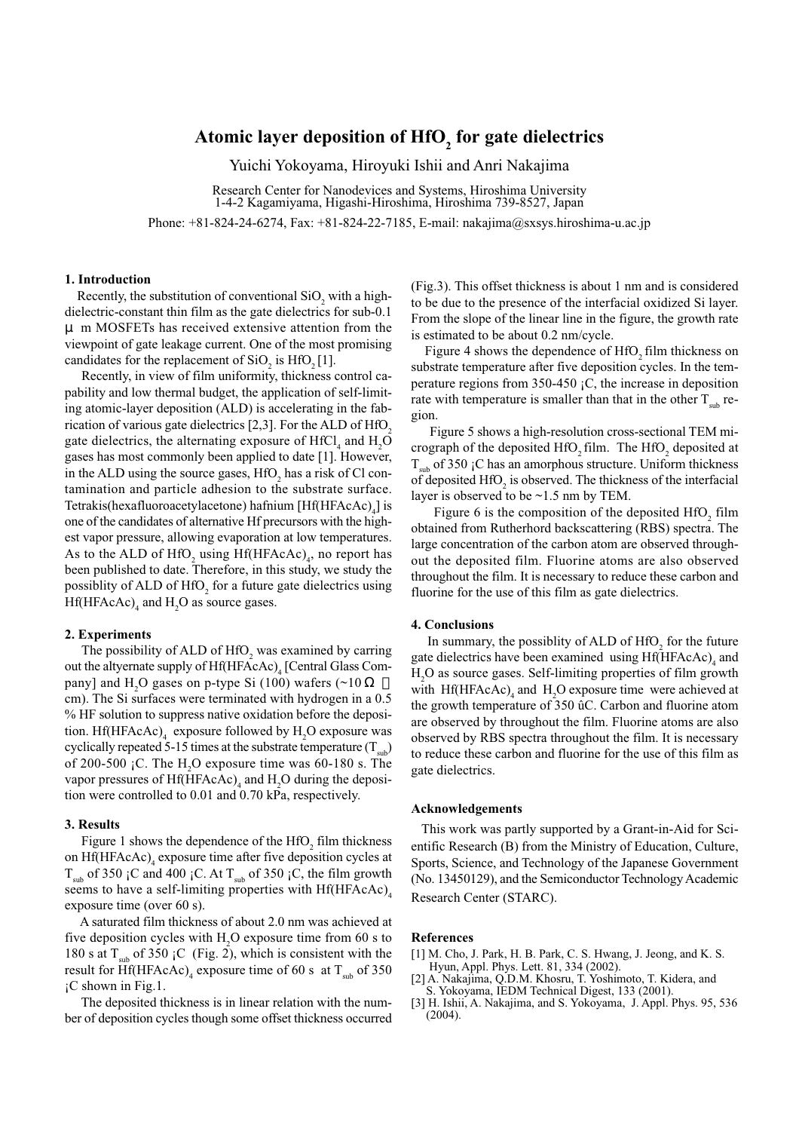# **Atomic layer deposition of HfO2 for gate dielectrics**

Yuichi Yokoyama, Hiroyuki Ishii and Anri Nakajima

Research Center for Nanodevices and Systems, Hiroshima University 1-4-2 Kagamiyama, Higashi-Hiroshima, Hiroshima 739-8527, Japan

Phone: +81-824-24-6274, Fax: +81-824-22-7185, E-mail: nakajima@sxsys.hiroshima-u.ac.jp

## **1. Introduction**

Recently, the substitution of conventional  $SiO_2$  with a highdielectric-constant thin film as the gate dielectrics for sub-0.1 μ m MOSFETs has received extensive attention from the viewpoint of gate leakage current. One of the most promising candidates for the replacement of  $SiO_2$  is  $HfO_2[1]$ .

 Recently, in view of film uniformity, thickness control capability and low thermal budget, the application of self-limiting atomic-layer deposition (ALD) is accelerating in the fabrication of various gate dielectrics  $[2,3]$ . For the ALD of HfO<sub>2</sub> gate dielectrics, the alternating exposure of  $HfCl<sub>4</sub>$  and  $H<sub>2</sub>O$ gases has most commonly been applied to date [1]. However, in the ALD using the source gases,  $HfO<sub>2</sub>$  has a risk of Cl contamination and particle adhesion to the substrate surface. Tetrakis(hexafluoroacetylacetone) hafnium [Hf(HFAcAc)<sub>4</sub>] is one of the candidates of alternative Hf precursors with the highest vapor pressure, allowing evaporation at low temperatures. As to the ALD of  $HfO_2$  using  $Hf(HFAcAc)<sub>4</sub>$ , no report has been published to date. Therefore, in this study, we study the possiblity of ALD of HfO<sub>2</sub> for a future gate dielectrics using  $Hf(HFAcAc)<sub>4</sub>$  and  $H<sub>2</sub>O$  as source gases.

### **2. Experiments**

The possibility of ALD of  $HfO<sub>2</sub>$  was examined by carring out the altyernate supply of Hf(HFAcAc)<sub>4</sub> [Central Glass Company] and  $H_2O$  gases on p-type Si (100) wafers (~10) cm). The Si surfaces were terminated with hydrogen in a 0.5 % HF solution to suppress native oxidation before the deposition. Hf(HFAcAc)<sub>4</sub> exposure followed by  $H_2O$  exposure was cyclically repeated 5-15 times at the substrate temperature  $(T_{sub})$ of 200-500  $\,$ iC. The H<sub>2</sub>O exposure time was 60-180 s. The vapor pressures of  $Hf(HFAcAc)$ <sub>4</sub> and  $H_2O$  during the deposition were controlled to 0.01 and 0.70 kPa, respectively.

#### **3. Results**

Figure 1 shows the dependence of the  $HfO<sub>2</sub>$  film thickness on  $Hf(HFAcAc)$ <sub>4</sub> exposure time after five deposition cycles at  $T_{sub}$  of 350 ¡C and 400 ¡C. At  $T_{sub}$  of 350 ¡C, the film growth seems to have a self-limiting properties with  $Hf(HFAcAc)$ exposure time (over 60 s).

 A saturated film thickness of about 2.0 nm was achieved at five deposition cycles with  $H_2O$  exposure time from 60 s to 180 s at  $T_{sub}$  of 350 ¡C (Fig. 2), which is consistent with the result for Hf(HFAcAc)<sub>4</sub> exposure time of 60 s at T<sub>sub</sub> of 350 ¡C shown in Fig.1.

 The deposited thickness is in linear relation with the number of deposition cycles though some offset thickness occurred (Fig.3). This offset thickness is about 1 nm and is considered to be due to the presence of the interfacial oxidized Si layer. From the slope of the linear line in the figure, the growth rate is estimated to be about 0.2 nm/cycle.

Figure 4 shows the dependence of  $HfO<sub>2</sub>$  film thickness on substrate temperature after five deposition cycles. In the temperature regions from 350-450 ¡C, the increase in deposition rate with temperature is smaller than that in the other  $T_{\text{sub}}$  region.

 Figure 5 shows a high-resolution cross-sectional TEM micrograph of the deposited HfO<sub>2</sub> film. The HfO<sub>2</sub> deposited at  $T_{sub}$  of 350 ¡C has an amorphous structure. Uniform thickness of deposited  $\rm{HfO}_{2}$  is observed. The thickness of the interfacial layer is observed to be ~1.5 nm by TEM.

Figure 6 is the composition of the deposited  $HfO<sub>2</sub>$  film obtained from Rutherhord backscattering (RBS) spectra. The large concentration of the carbon atom are observed throughout the deposited film. Fluorine atoms are also observed throughout the film. It is necessary to reduce these carbon and fluorine for the use of this film as gate dielectrics.

#### **4. Conclusions**

In summary, the possiblity of ALD of  $HfO<sub>2</sub>$  for the future gate dielectrics have been examined using Hf(HFAcAc)<sub>4</sub> and H2 O as source gases. Self-limiting properties of film growth with  $\text{Hf}(\text{HFAcAc})$ <sub>4</sub> and  $\text{H}_2\text{O}$  exposure time were achieved at the growth temperature of 350 ûC. Carbon and fluorine atom are observed by throughout the film. Fluorine atoms are also observed by RBS spectra throughout the film. It is necessary to reduce these carbon and fluorine for the use of this film as gate dielectrics.

#### **Acknowledgements**

This work was partly supported by a Grant-in-Aid for Scientific Research (B) from the Ministry of Education, Culture, Sports, Science, and Technology of the Japanese Government (No. 13450129), and the Semiconductor Technology Academic Research Center (STARC).

#### **References**

- [1] M. Cho, J. Park, H. B. Park, C. S. Hwang, J. Jeong, and K. S. Hyun, Appl. Phys. Lett. 81, 334 (2002).
- [2] A. Nakajima, Q.D.M. Khosru, T. Yoshimoto, T. Kidera, and S. Yokoyama, IEDM Technical Digest, 133 (2001).
- [3] H. Ishii, A. Nakajima, and S. Yokoyama, J. Appl. Phys. 95, 536 (2004).